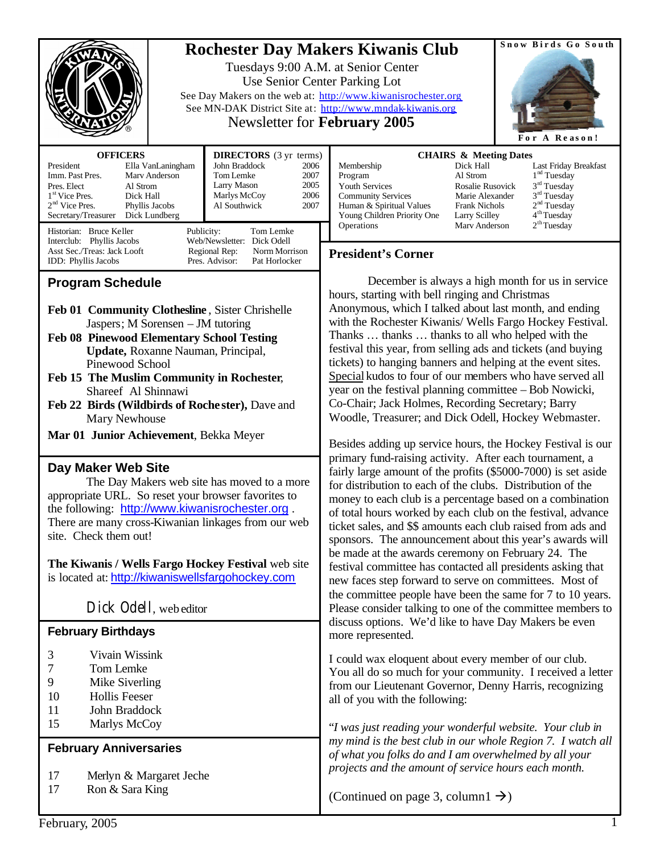|                                                                                                                                                                                                                                                                                                                                                                                                                                                                          | Snow Birds Go South<br><b>Rochester Day Makers Kiwanis Club</b><br>Tuesdays 9:00 A.M. at Senior Center<br>Use Senior Center Parking Lot<br>See Day Makers on the web at: http://www.kiwanisrochester.org<br>See MN-DAK District Site at: http://www.mndak-kiwanis.org<br><b>Newsletter for February 2005</b><br>For A Reason!                                                                                                                                                                                                                                                                                                                                                                                                                              |
|--------------------------------------------------------------------------------------------------------------------------------------------------------------------------------------------------------------------------------------------------------------------------------------------------------------------------------------------------------------------------------------------------------------------------------------------------------------------------|------------------------------------------------------------------------------------------------------------------------------------------------------------------------------------------------------------------------------------------------------------------------------------------------------------------------------------------------------------------------------------------------------------------------------------------------------------------------------------------------------------------------------------------------------------------------------------------------------------------------------------------------------------------------------------------------------------------------------------------------------------|
| <b>OFFICERS</b><br><b>DIRECTORS</b> (3 yr terms)<br>John Braddock<br>President<br>Ella VanLaningham<br>Imm. Past Pres.<br>Tom Lemke<br>Mary Anderson<br>Larry Mason<br>Pres. Elect<br>Al Strom<br>1 <sup>st</sup> Vice Pres.<br>Marlys McCoy<br>Dick Hall<br>$2nd$ Vice Pres.<br>Phyllis Jacobs<br>Al Southwick<br>Secretary/Treasurer<br>Dick Lundberg<br>Historian: Bruce Keller<br>Tom Lemke<br>Publicity:<br>Interclub: Phyllis Jacobs<br>Web/Newsletter: Dick Odell | <b>CHAIRS &amp; Meeting Dates</b><br>2006<br>Dick Hall<br>Membership<br>Last Friday Breakfast<br>1 <sup>nd</sup> Tuesday<br>2007<br>Al Strom<br>Program<br>$3rd$ Tuesday<br>2005<br><b>Youth Services</b><br>Rosalie Rusovick<br>3 <sup>rd</sup> Tuesday<br>2006<br><b>Community Services</b><br>Marie Alexander<br>2 <sup>nd</sup> Tuesday<br>2007<br>Human & Spiritual Values<br>Frank Nichols<br>4 <sup>th</sup> Tuesday<br>Young Children Priority One<br>Larry Scilley<br>2 <sup>th</sup> Tuesday<br>Operations<br>Mary Anderson                                                                                                                                                                                                                      |
| Asst Sec./Treas: Jack Looft<br>Regional Rep:<br>Norm Morrison<br>IDD: Phyllis Jacobs<br>Pres. Advisor:<br>Pat Horlocker<br><b>Program Schedule</b>                                                                                                                                                                                                                                                                                                                       | <b>President's Corner</b><br>December is always a high month for us in service<br>hours, starting with bell ringing and Christmas                                                                                                                                                                                                                                                                                                                                                                                                                                                                                                                                                                                                                          |
| Feb 01 Community Clothesline, Sister Chrishelle<br>Jaspers; M Sorensen - JM tutoring<br><b>Feb 08 Pinewood Elementary School Testing</b><br>Update, Roxanne Nauman, Principal,<br>Pinewood School<br>Feb 15 The Muslim Community in Rochester,<br>Shareef Al Shinnawi<br>Feb 22 Birds (Wildbirds of Rochester), Dave and<br>Mary Newhouse                                                                                                                                | Anonymous, which I talked about last month, and ending<br>with the Rochester Kiwanis/ Wells Fargo Hockey Festival.<br>Thanks  thanks  thanks to all who helped with the<br>festival this year, from selling ads and tickets (and buying<br>tickets) to hanging banners and helping at the event sites.<br>Special kudos to four of our members who have served all<br>year on the festival planning committee - Bob Nowicki,<br>Co-Chair; Jack Holmes, Recording Secretary; Barry<br>Woodle, Treasurer; and Dick Odell, Hockey Webmaster.                                                                                                                                                                                                                  |
| Mar 01 Junior Achievement, Bekka Meyer<br>Day Maker Web Site<br>The Day Makers web site has moved to a more<br>appropriate URL. So reset your browser favorites to<br>the following: http://www.kiwanisrochester.org.<br>There are many cross-Kiwanian linkages from our web<br>site. Check them out!<br>The Kiwanis / Wells Fargo Hockey Festival web site<br>is located at: http://kiwaniswellsfargohockey.com                                                         | Besides adding up service hours, the Hockey Festival is our<br>primary fund-raising activity. After each tournament, a<br>fairly large amount of the profits (\$5000-7000) is set aside<br>for distribution to each of the clubs. Distribution of the<br>money to each club is a percentage based on a combination<br>of total hours worked by each club on the festival, advance<br>ticket sales, and \$\$ amounts each club raised from ads and<br>sponsors. The announcement about this year's awards will<br>be made at the awards ceremony on February 24. The<br>festival committee has contacted all presidents asking that<br>new faces step forward to serve on committees. Most of<br>the committee people have been the same for 7 to 10 years. |
| Dick Odell, web editor<br><b>February Birthdays</b>                                                                                                                                                                                                                                                                                                                                                                                                                      | Please consider talking to one of the committee members to<br>discuss options. We'd like to have Day Makers be even<br>more represented.                                                                                                                                                                                                                                                                                                                                                                                                                                                                                                                                                                                                                   |
| Vivain Wissink<br>3<br>7<br>Tom Lemke<br>9<br>Mike Siverling<br>Hollis Feeser<br>10<br>11<br>John Braddock                                                                                                                                                                                                                                                                                                                                                               | I could wax eloquent about every member of our club.<br>You all do so much for your community. I received a letter<br>from our Lieutenant Governor, Denny Harris, recognizing<br>all of you with the following:                                                                                                                                                                                                                                                                                                                                                                                                                                                                                                                                            |
| 15<br>Marlys McCoy<br><b>February Anniversaries</b>                                                                                                                                                                                                                                                                                                                                                                                                                      | "I was just reading your wonderful website. Your club in<br>my mind is the best club in our whole Region 7. I watch all<br>of what you folks do and I am overwhelmed by all your<br>projects and the amount of service hours each month.                                                                                                                                                                                                                                                                                                                                                                                                                                                                                                                   |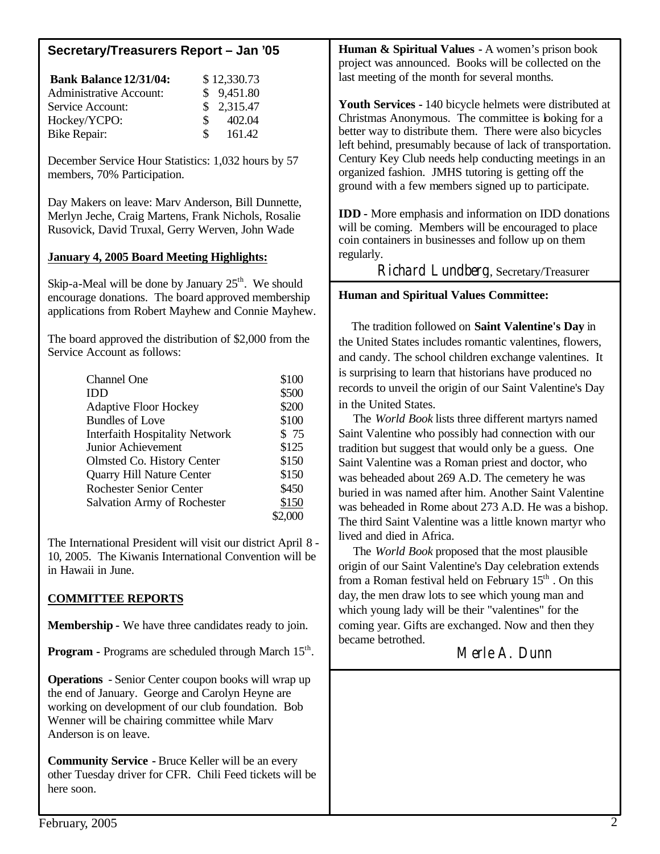| <b>Bank Balance 12/31/04:</b><br>\$12,330.73<br><b>Administrative Account:</b><br>9,451.80<br>\$<br>2,315.47<br>Service Account:<br>\$<br>402.04<br>Hockey/YCPO:<br>\$<br>161.42<br><b>Bike Repair:</b><br>December Service Hour Statistics: 1,032 hours by 57<br>members, 70% Participation.<br>Day Makers on leave: Marv Anderson, Bill Dunnette,<br>Merlyn Jeche, Craig Martens, Frank Nichols, Rosalie<br>Rusovick, David Truxal, Gerry Werven, John Wade<br><b>January 4, 2005 Board Meeting Highlights:</b><br>Skip-a-Meal will be done by January $25th$ . We should                                                                                                                                                                                           | project was announced. Books will be collected on the<br>last meeting of the month for several months.<br>Youth Services - 140 bicycle helmets were distributed at<br>Christmas Anonymous. The committee is boking for a<br>better way to distribute them. There were also bicycles<br>left behind, presumably because of lack of transportation.<br>Century Key Club needs help conducting meetings in an<br>organized fashion. JMHS tutoring is getting off the<br>ground with a few members signed up to participate.<br><b>IDD</b> - More emphasis and information on IDD donations<br>will be coming. Members will be encouraged to place<br>coin containers in businesses and follow up on them<br>regularly.<br>Richard Lundberg, Secretary/Treasurer                                                                                                                                                                                                                                                                                                                                                                                                       |
|-----------------------------------------------------------------------------------------------------------------------------------------------------------------------------------------------------------------------------------------------------------------------------------------------------------------------------------------------------------------------------------------------------------------------------------------------------------------------------------------------------------------------------------------------------------------------------------------------------------------------------------------------------------------------------------------------------------------------------------------------------------------------|--------------------------------------------------------------------------------------------------------------------------------------------------------------------------------------------------------------------------------------------------------------------------------------------------------------------------------------------------------------------------------------------------------------------------------------------------------------------------------------------------------------------------------------------------------------------------------------------------------------------------------------------------------------------------------------------------------------------------------------------------------------------------------------------------------------------------------------------------------------------------------------------------------------------------------------------------------------------------------------------------------------------------------------------------------------------------------------------------------------------------------------------------------------------|
| encourage donations. The board approved membership<br>applications from Robert Mayhew and Connie Mayhew.<br>The board approved the distribution of \$2,000 from the<br>Service Account as follows:<br>Channel One<br>\$100<br><b>IDD</b><br>\$500<br>\$200<br><b>Adaptive Floor Hockey</b><br><b>Bundles of Love</b><br>\$100<br>\$75<br><b>Interfaith Hospitality Network</b><br>\$125<br>Junior Achievement<br>\$150<br>Olmsted Co. History Center<br>Quarry Hill Nature Center<br>\$150<br><b>Rochester Senior Center</b><br>\$450<br>Salvation Army of Rochester<br>\$150<br>\$2,000<br>The International President will visit our district April 8 -<br>10, 2005. The Kiwanis International Convention will be<br>in Hawaii in June.<br><b>COMMITTEE REPORTS</b> | <b>Human and Spiritual Values Committee:</b><br>The tradition followed on Saint Valentine's Day in<br>the United States includes romantic valentines, flowers,<br>and candy. The school children exchange valentines. It<br>is surprising to learn that historians have produced no<br>records to unveil the origin of our Saint Valentine's Day<br>in the United States.<br>The World Book lists three different martyrs named<br>Saint Valentine who possibly had connection with our<br>tradition but suggest that would only be a guess. One<br>Saint Valentine was a Roman priest and doctor, who<br>was beheaded about 269 A.D. The cemetery he was<br>buried in was named after him. Another Saint Valentine<br>was beheaded in Rome about 273 A.D. He was a bishop.<br>The third Saint Valentine was a little known martyr who<br>lived and died in Africa.<br>The World Book proposed that the most plausible<br>origin of our Saint Valentine's Day celebration extends<br>from a Roman festival held on February 15 <sup>th</sup> . On this<br>day, the men draw lots to see which young man and<br>which young lady will be their "valentines" for the |
| <b>Membership - We have three candidates ready to join.</b><br><b>Program - Programs are scheduled through March 15th.</b>                                                                                                                                                                                                                                                                                                                                                                                                                                                                                                                                                                                                                                            | coming year. Gifts are exchanged. Now and then they<br>became betrothed.<br>Merle A. Dunn                                                                                                                                                                                                                                                                                                                                                                                                                                                                                                                                                                                                                                                                                                                                                                                                                                                                                                                                                                                                                                                                          |
| <b>Operations</b> - Senior Center coupon books will wrap up<br>the end of January. George and Carolyn Heyne are<br>working on development of our club foundation. Bob<br>Wenner will be chairing committee while Marv<br>Anderson is on leave.<br><b>Community Service - Bruce Keller will be an every</b><br>other Tuesday driver for CFR. Chili Feed tickets will be<br>here soon.                                                                                                                                                                                                                                                                                                                                                                                  |                                                                                                                                                                                                                                                                                                                                                                                                                                                                                                                                                                                                                                                                                                                                                                                                                                                                                                                                                                                                                                                                                                                                                                    |
| February, 2005                                                                                                                                                                                                                                                                                                                                                                                                                                                                                                                                                                                                                                                                                                                                                        |                                                                                                                                                                                                                                                                                                                                                                                                                                                                                                                                                                                                                                                                                                                                                                                                                                                                                                                                                                                                                                                                                                                                                                    |

**Human & Spiritual Values -** A women's prison book

**Secretary/Treasurers Report – Jan '05**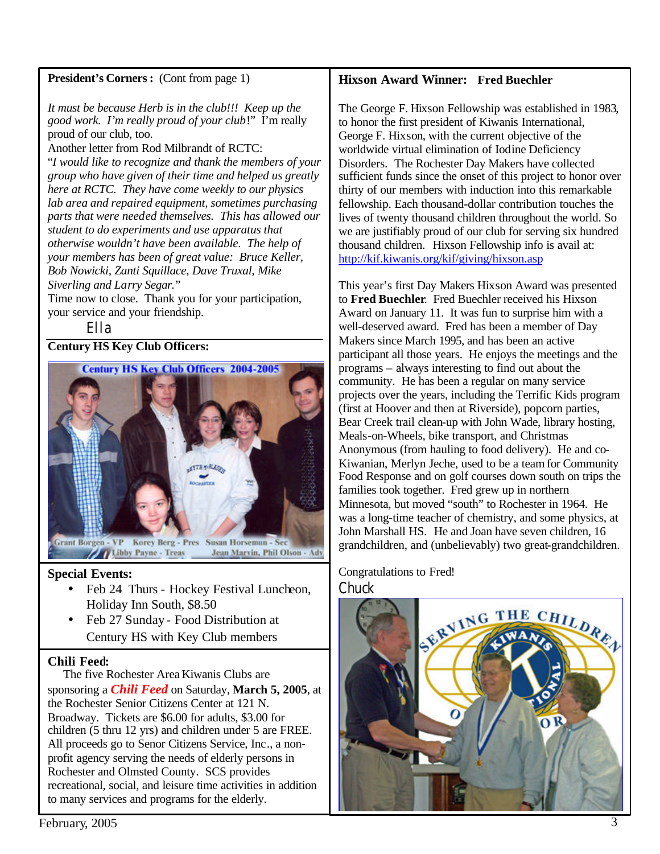# **President's Corners:** (Cont from page 1)

*It must be because Herb is in the club!!! Keep up the good work. I'm really proud of your club*!" I'm really proud of our club, too.

Another letter from Rod Milbrandt of RCTC:

"*I would like to recognize and thank the members of your group who have given of their time and helped us greatly here at RCTC. They have come weekly to our physics lab area and repaired equipment, sometimes purchasing parts that were needed themselves. This has allowed our student to do experiments and use apparatus that otherwise wouldn't have been available. The help of your members has been of great value: Bruce Keller, Bob Nowicki, Zanti Squillace, Dave Truxal, Mike Siverling and Larry Segar.*"

Time now to close. Thank you for your participation, your service and your friendship.

Ella

### **Century HS Key Club Officers:**



# **Special Events:**

- Feb 24 Thurs Hockey Festival Luncheon, Holiday Inn South, \$8.50
- Feb 27 Sunday Food Distribution at Century HS with Key Club members

### **Chili Feed:**

 The five Rochester Area Kiwanis Clubs are sponsoring a *Chili Feed* on Saturday, **March 5, 2005**, at the Rochester Senior Citizens Center at 121 N. Broadway. Tickets are \$6.00 for adults, \$3.00 for children (5 thru 12 yrs) and children under 5 are FREE. All proceeds go to Senor Citizens Service, Inc., a nonprofit agency serving the needs of elderly persons in Rochester and Olmsted County. SCS provides recreational, social, and leisure time activities in addition to many services and programs for the elderly.

# **Hixson Award Winner: Fred Buechler**

The George F. Hixson Fellowship was established in 1983, to honor the first president of Kiwanis International, George F. Hixson, with the current objective of the worldwide virtual elimination of Iodine Deficiency Disorders. The Rochester Day Makers have collected sufficient funds since the onset of this project to honor over thirty of our members with induction into this remarkable fellowship. Each thousand-dollar contribution touches the lives of twenty thousand children throughout the world. So we are justifiably proud of our club for serving six hundred thousand children. Hixson Fellowship info is avail at: <http://kif.kiwanis.org/kif/giving/hixson.asp>

This year's first Day Makers Hixson Award was presented to **Fred Buechler**. Fred Buechler received his Hixson Award on January 11. It was fun to surprise him with a well-deserved award. Fred has been a member of Day Makers since March 1995, and has been an active participant all those years. He enjoys the meetings and the programs – always interesting to find out about the community. He has been a regular on many service projects over the years, including the Terrific Kids program (first at Hoover and then at Riverside), popcorn parties, Bear Creek trail clean-up with John Wade, library hosting, Meals-on-Wheels, bike transport, and Christmas Anonymous (from hauling to food delivery). He and co-Kiwanian, Merlyn Jeche, used to be a team for Community Food Response and on golf courses down south on trips the families took together. Fred grew up in northern Minnesota, but moved "south" to Rochester in 1964. He was a long-time teacher of chemistry, and some physics, at John Marshall HS. He and Joan have seven children, 16 grandchildren, and (unbelievably) two great-grandchildren.

Congratulations to Fred! **Chuck**